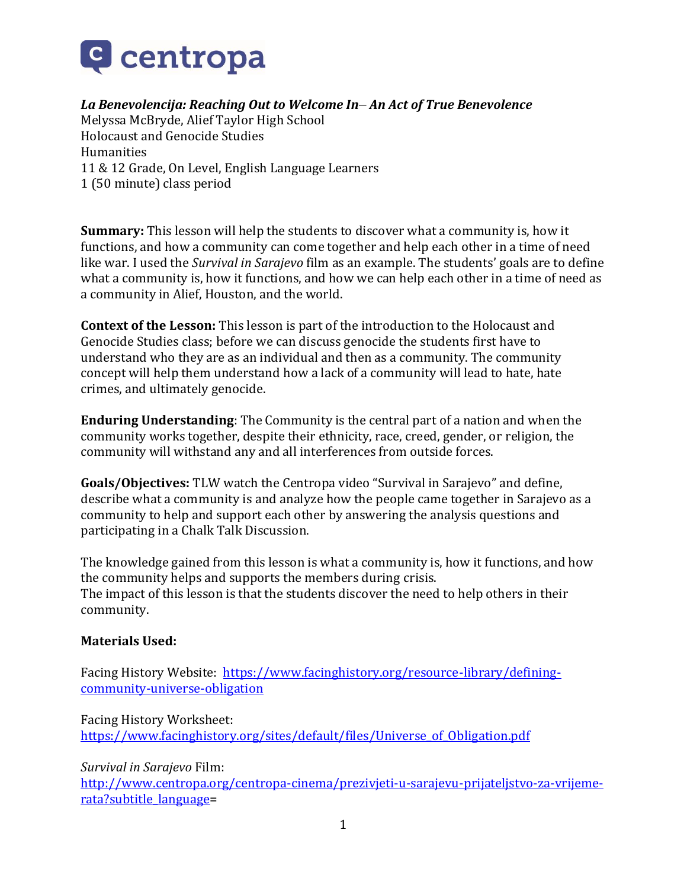

# *La Benevolencija: Reaching Out to Welcome In– An Act of True Benevolence*

Melyssa McBryde, Alief Taylor High School Holocaust and Genocide Studies Humanities 11 & 12 Grade, On Level, English Language Learners 1 (50 minute) class period

**Summary:** This lesson will help the students to discover what a community is, how it functions, and how a community can come together and help each other in a time of need like war. I used the *Survival in Sarajevo* film as an example. The students' goals are to define what a community is, how it functions, and how we can help each other in a time of need as a community in Alief, Houston, and the world.

**Context of the Lesson:** This lesson is part of the introduction to the Holocaust and Genocide Studies class; before we can discuss genocide the students first have to understand who they are as an individual and then as a community. The community concept will help them understand how a lack of a community will lead to hate, hate crimes, and ultimately genocide.

**Enduring Understanding**: The Community is the central part of a nation and when the community works together, despite their ethnicity, race, creed, gender, or religion, the community will withstand any and all interferences from outside forces.

**Goals/Objectives:** TLW watch the Centropa video "Survival in Sarajevo" and define, describe what a community is and analyze how the people came together in Sarajevo as a community to help and support each other by answering the analysis questions and participating in a Chalk Talk Discussion.

The knowledge gained from this lesson is what a community is, how it functions, and how the community helps and supports the members during crisis. The impact of this lesson is that the students discover the need to help others in their community.

#### **Materials Used:**

Facing History Website: [https://www.facinghistory.org/resource-library/defining](https://www.facinghistory.org/resource-library/defining-community-universe-obligation)[community-universe-obligation](https://www.facinghistory.org/resource-library/defining-community-universe-obligation)

Facing History Worksheet: [https://www.facinghistory.org/sites/default/files/Universe\\_of\\_Obligation.pdf](https://www.facinghistory.org/sites/default/files/Universe_of_Obligation.pdf)

*Survival in Sarajevo* Film:

[http://www.centropa.org/centropa-cinema/prezivjeti-u-sarajevu-prijateljstvo-za-vrijeme](http://www.centropa.org/centropa-cinema/prezivjeti-u-sarajevu-prijateljstvo-za-vrijeme-rata?subtitle_language)[rata?subtitle\\_language=](http://www.centropa.org/centropa-cinema/prezivjeti-u-sarajevu-prijateljstvo-za-vrijeme-rata?subtitle_language)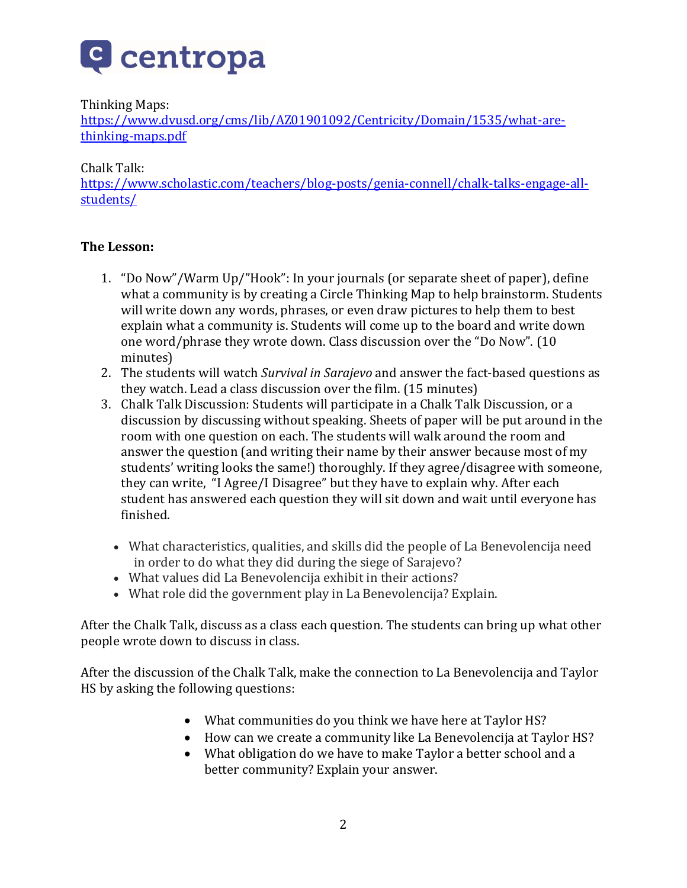

# Thinking Maps:

[https://www.dvusd.org/cms/lib/AZ01901092/Centricity/Domain/1535/what-are](https://www.dvusd.org/cms/lib/AZ01901092/Centricity/Domain/1535/what-are-thinking-maps.pdf)[thinking-maps.pdf](https://www.dvusd.org/cms/lib/AZ01901092/Centricity/Domain/1535/what-are-thinking-maps.pdf)

### Chalk Talk:

[https://www.scholastic.com/teachers/blog-posts/genia-connell/chalk-talks-engage-all](https://www.scholastic.com/teachers/blog-posts/genia-connell/chalk-talks-engage-all-students/)[students/](https://www.scholastic.com/teachers/blog-posts/genia-connell/chalk-talks-engage-all-students/)

### **The Lesson:**

- 1. "Do Now"/Warm Up/"Hook": In your journals (or separate sheet of paper), define what a community is by creating a Circle Thinking Map to help brainstorm. Students will write down any words, phrases, or even draw pictures to help them to best explain what a community is. Students will come up to the board and write down one word/phrase they wrote down. Class discussion over the "Do Now". (10 minutes)
- 2. The students will watch *Survival in Sarajevo* and answer the fact-based questions as they watch. Lead a class discussion over the film. (15 minutes)
- 3. Chalk Talk Discussion: Students will participate in a Chalk Talk Discussion, or a discussion by discussing without speaking. Sheets of paper will be put around in the room with one question on each. The students will walk around the room and answer the question (and writing their name by their answer because most of my students' writing looks the same!) thoroughly. If they agree/disagree with someone, they can write, "I Agree/I Disagree" but they have to explain why. After each student has answered each question they will sit down and wait until everyone has finished.
	- What characteristics, qualities, and skills did the people of La Benevolencija need in order to do what they did during the siege of Sarajevo?
	- What values did La Benevolencija exhibit in their actions?
	- What role did the government play in La Benevolencija? Explain.

After the Chalk Talk, discuss as a class each question. The students can bring up what other people wrote down to discuss in class.

After the discussion of the Chalk Talk, make the connection to La Benevolencija and Taylor HS by asking the following questions:

- What communities do you think we have here at Taylor HS?
- How can we create a community like La Benevolencija at Taylor HS?
- What obligation do we have to make Taylor a better school and a better community? Explain your answer.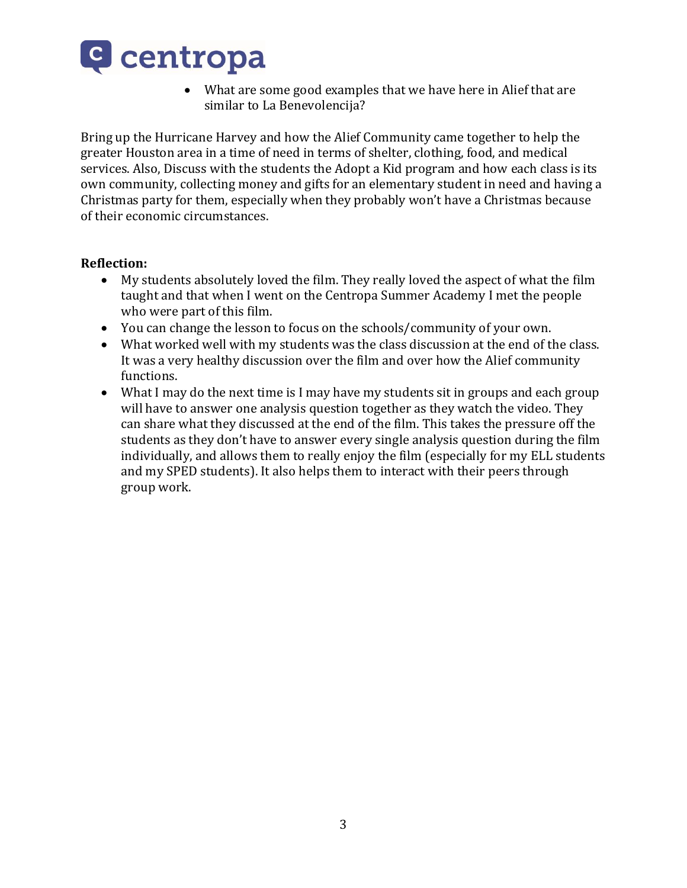

 What are some good examples that we have here in Alief that are similar to La Benevolencija?

Bring up the Hurricane Harvey and how the Alief Community came together to help the greater Houston area in a time of need in terms of shelter, clothing, food, and medical services. Also, Discuss with the students the Adopt a Kid program and how each class is its own community, collecting money and gifts for an elementary student in need and having a Christmas party for them, especially when they probably won't have a Christmas because of their economic circumstances.

### **Reflection:**

- My students absolutely loved the film. They really loved the aspect of what the film taught and that when I went on the Centropa Summer Academy I met the people who were part of this film.
- You can change the lesson to focus on the schools/community of your own.
- What worked well with my students was the class discussion at the end of the class. It was a very healthy discussion over the film and over how the Alief community functions.
- What I may do the next time is I may have my students sit in groups and each group will have to answer one analysis question together as they watch the video. They can share what they discussed at the end of the film. This takes the pressure off the students as they don't have to answer every single analysis question during the film individually, and allows them to really enjoy the film (especially for my ELL students and my SPED students). It also helps them to interact with their peers through group work.